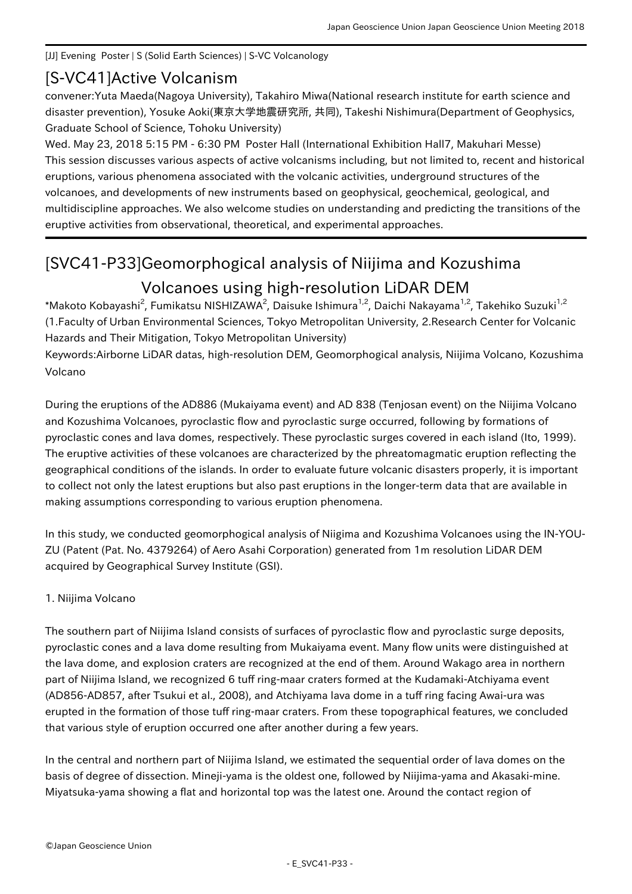### [JJ] Evening Poster | S (Solid Earth Sciences) | S-VC Volcanology

# [S-VC41] Active Volcanism

convener:Yuta Maeda(Nagoya University), Takahiro Miwa(National research institute for earth science and disaster prevention), Yosuke Aoki(東京大学地震研究所, 共同), Takeshi Nishimura(Department of Geophysics, Graduate School of Science, Tohoku University)

Wed. May 23, 2018 5:15 PM - 6:30 PM Poster Hall (International Exhibition Hall7, Makuhari Messe) This session discusses various aspects of active volcanisms including, but not limited to, recent and historical eruptions, various phenomena associated with the volcanic activities, underground structures of the volcanoes, and developments of new instruments based on geophysical, geochemical, geological, and multidiscipline approaches. We also welcome studies on understanding and predicting the transitions of the eruptive activities from observational, theoretical, and experimental approaches.

# [SVC41-P33] Geomorphogical analysis of Niijima and Kozushima Volcanoes using high-resolution LiDAR DEM

\*Makoto Kobayashi<sup>2</sup>, Fumikatsu NISHIZAWA<sup>2</sup>, Daisuke Ishimura<sup>1,2</sup>, Daichi Nakayama<sup>1,2</sup>, Takehiko Suzuki<sup>1,2</sup> (1.Faculty of Urban Environmental Sciences, Tokyo Metropolitan University, 2.Research Center for Volcanic Hazards and Their Mitigation, Tokyo Metropolitan University)

Keywords:Airborne LiDAR datas, high-resolution DEM, Geomorphogical analysis, Niijima Volcano, Kozushima Volcano

During the eruptions of the AD886 (Mukaiyama event) and AD 838 (Tenjosan event) on the Niijima Volcano and Kozushima Volcanoes, pyroclastic flow and pyroclastic surge occurred, following by formations of pyroclastic cones and lava domes, respectively. These pyroclastic surges covered in each island (Ito, 1999). The eruptive activities of these volcanoes are characterized by the phreatomagmatic eruption reflecting the geographical conditions of the islands. In order to evaluate future volcanic disasters properly, it is important to collect not only the latest eruptions but also past eruptions in the longer-term data that are available in making assumptions corresponding to various eruption phenomena.

In this study, we conducted geomorphogical analysis of Niigima and Kozushima Volcanoes using the IN-YOU-ZU (Patent (Pat. No. 4379264) of Aero Asahi Corporation) generated from 1m resolution LiDAR DEM acquired by Geographical Survey Institute (GSI).

## 1. Niijima Volcano

The southern part of Niijima Island consists of surfaces of pyroclastic flow and pyroclastic surge deposits, pyroclastic cones and a lava dome resulting from Mukaiyama event. Many flow units were distinguished at the lava dome, and explosion craters are recognized at the end of them. Around Wakago area in northern part of Niijima Island, we recognized 6 tuff ring-maar craters formed at the Kudamaki-Atchiyama event (AD856-AD857, after Tsukui et al., 2008), and Atchiyama lava dome in a tuff ring facing Awai-ura was erupted in the formation of those tuff ring-maar craters. From these topographical features, we concluded that various style of eruption occurred one after another during a few years.

In the central and northern part of Niijima Island, we estimated the sequential order of lava domes on the basis of degree of dissection. Mineji-yama is the oldest one, followed by Niijima-yama and Akasaki-mine. Miyatsuka-yama showing a flat and horizontal top was the latest one. Around the contact region of